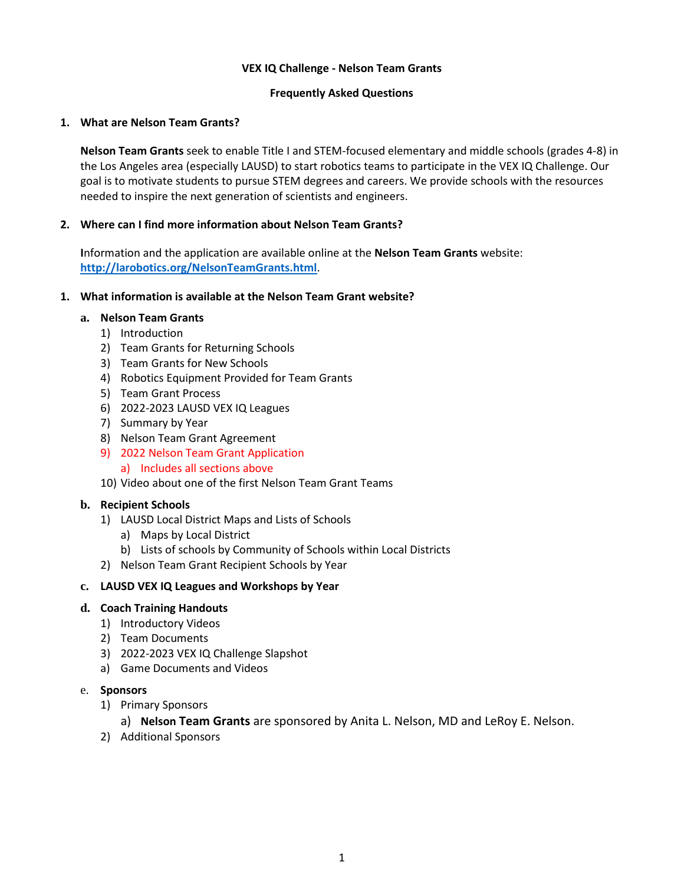## **VEX IQ Challenge - Nelson Team Grants**

### **Frequently Asked Questions**

## **1. What are Nelson Team Grants?**

**Nelson Team Grants** seek to enable Title I and STEM-focused elementary and middle schools (grades 4-8) in the Los Angeles area (especially LAUSD) to start robotics teams to participate in the VEX IQ Challenge. Our goal is to motivate students to pursue STEM degrees and careers. We provide schools with the resources needed to inspire the next generation of scientists and engineers.

## **2. Where can I find more information about Nelson Team Grants?**

**I**nformation and the application are available online at the **Nelson Team Grants** website: **http://larobotics.org/NelsonTeamGrants.html**.

## **1. What information is available at the Nelson Team Grant website?**

### **a. Nelson Team Grants**

- 1) Introduction
- 2) Team Grants for Returning Schools
- 3) Team Grants for New Schools
- 4) Robotics Equipment Provided for Team Grants
- 5) Team Grant Process
- 6) 2022-2023 LAUSD VEX IQ Leagues
- 7) Summary by Year
- 8) Nelson Team Grant Agreement
- 9) 2022 Nelson Team Grant Application
	- a) Includes all sections above
- 10) Video about one of the first Nelson Team Grant Teams

## **b. Recipient Schools**

- 1) LAUSD Local District Maps and Lists of Schools
	- a) Maps by Local District
	- b) Lists of schools by Community of Schools within Local Districts
- 2) Nelson Team Grant Recipient Schools by Year

## **c. LAUSD VEX IQ Leagues and Workshops by Year**

## **d. Coach Training Handouts**

- 1) Introductory Videos
- 2) Team Documents
- 3) 2022-2023 VEX IQ Challenge Slapshot
- a) Game Documents and Videos

## e. **Sponsors**

- 1) Primary Sponsors
	- a) **Nelson Team Grants** are sponsored by Anita L. Nelson, MD and LeRoy E. Nelson.
- 2) Additional Sponsors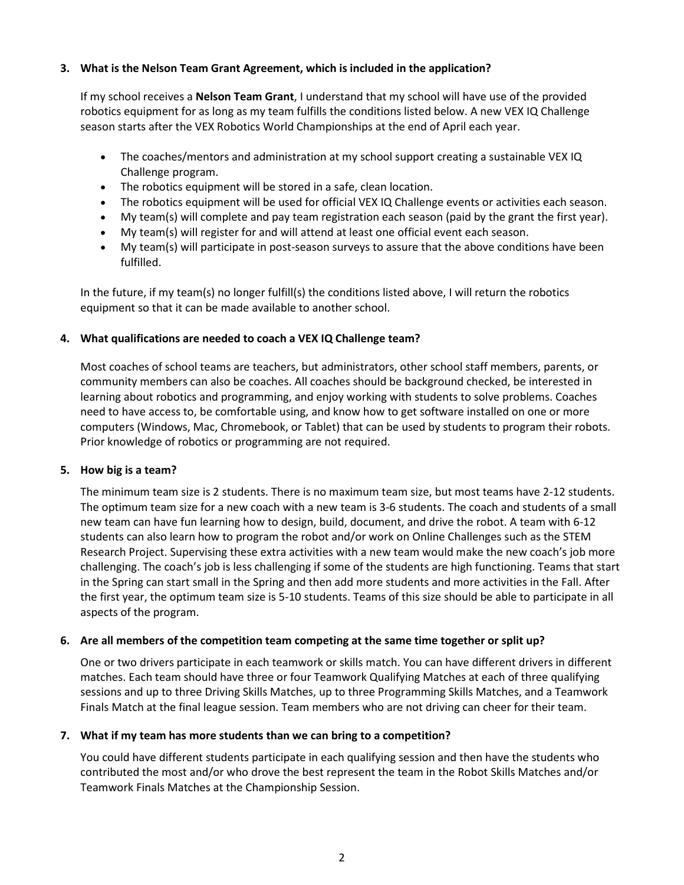# **3. What is the Nelson Team Grant Agreement, which is included in the application?**

If my school receives a **Nelson Team Grant**, I understand that my school will have use of the provided robotics equipment for as long as my team fulfills the conditions listed below. A new VEX IQ Challenge season starts after the VEX Robotics World Championships at the end of April each year.

- The coaches/mentors and administration at my school support creating a sustainable VEX IQ Challenge program.
- The robotics equipment will be stored in a safe, clean location.
- The robotics equipment will be used for official VEX IQ Challenge events or activities each season.
- My team(s) will complete and pay team registration each season (paid by the grant the first year).
- My team(s) will register for and will attend at least one official event each season.
- My team(s) will participate in post-season surveys to assure that the above conditions have been fulfilled.

In the future, if my team(s) no longer fulfill(s) the conditions listed above, I will return the robotics equipment so that it can be made available to another school.

## **4. What qualifications are needed to coach a VEX IQ Challenge team?**

Most coaches of school teams are teachers, but administrators, other school staff members, parents, or community members can also be coaches. All coaches should be background checked, be interested in learning about robotics and programming, and enjoy working with students to solve problems. Coaches need to have access to, be comfortable using, and know how to get software installed on one or more computers (Windows, Mac, Chromebook, or Tablet) that can be used by students to program their robots. Prior knowledge of robotics or programming are not required.

## **5. How big is a team?**

The minimum team size is 2 students. There is no maximum team size, but most teams have 2-12 students. The optimum team size for a new coach with a new team is 3-6 students. The coach and students of a small new team can have fun learning how to design, build, document, and drive the robot. A team with 6-12 students can also learn how to program the robot and/or work on Online Challenges such as the STEM Research Project. Supervising these extra activities with a new team would make the new coach's job more challenging. The coach's job is less challenging if some of the students are high functioning. Teams that start in the Spring can start small in the Spring and then add more students and more activities in the Fall. After the first year, the optimum team size is 5-10 students. Teams of this size should be able to participate in all aspects of the program.

## **6. Are all members of the competition team competing at the same time together or split up?**

One or two drivers participate in each teamwork or skills match. You can have different drivers in different matches. Each team should have three or four Teamwork Qualifying Matches at each of three qualifying sessions and up to three Driving Skills Matches, up to three Programming Skills Matches, and a Teamwork Finals Match at the final league session. Team members who are not driving can cheer for their team.

## **7. What if my team has more students than we can bring to a competition?**

You could have different students participate in each qualifying session and then have the students who contributed the most and/or who drove the best represent the team in the Robot Skills Matches and/or Teamwork Finals Matches at the Championship Session.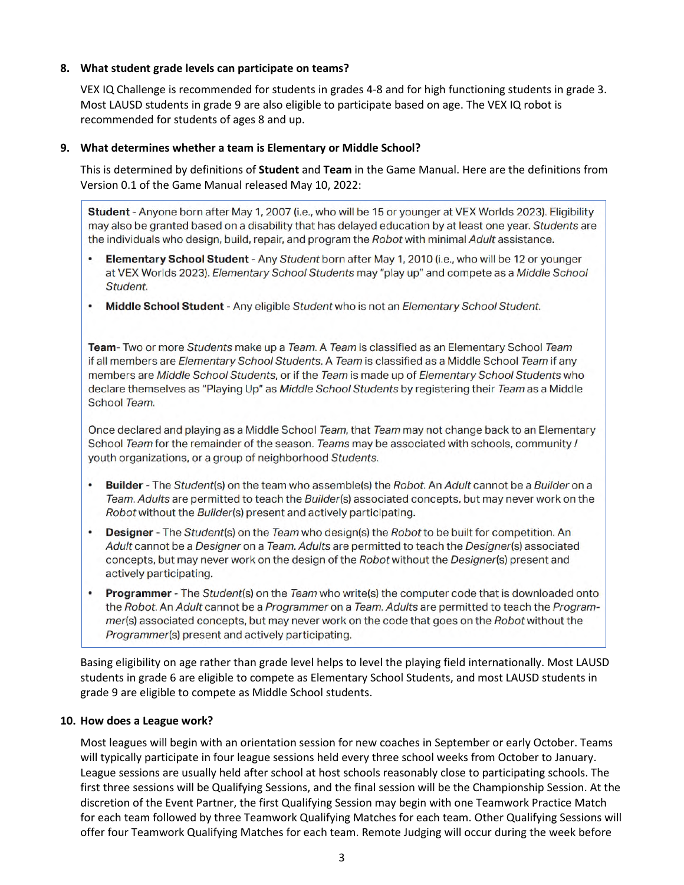## **8. What student grade levels can participate on teams?**

VEX IQ Challenge is recommended for students in grades 4-8 and for high functioning students in grade 3. Most LAUSD students in grade 9 are also eligible to participate based on age. The VEX IQ robot is recommended for students of ages 8 and up.

### **9. What determines whether a team is Elementary or Middle School?**

This is determined by definitions of **Student** and **Team** in the Game Manual. Here are the definitions from Version 0.1 of the Game Manual released May 10, 2022:

Student - Anyone born after May 1, 2007 (i.e., who will be 15 or younger at VEX Worlds 2023). Eligibility may also be granted based on a disability that has delayed education by at least one year. Students are the individuals who design, build, repair, and program the Robot with minimal Adult assistance.

- Elementary School Student Any Student born after May 1, 2010 (i.e., who will be 12 or younger at VEX Worlds 2023). Elementary School Students may "play up" and compete as a Middle School Student.
- . Middle School Student Any eligible Student who is not an Elementary School Student.

Team- Two or more Students make up a Team. A Team is classified as an Elementary School Team if all members are Elementary School Students. A Team is classified as a Middle School Team if any members are Middle School Students, or if the Team is made up of Elementary School Students who declare themselves as "Playing Up" as Middle School Students by registering their Team as a Middle School Team.

Once declared and playing as a Middle School Team, that Team may not change back to an Elementary School Team for the remainder of the season. Teams may be associated with schools, community / youth organizations, or a group of neighborhood Students.

- Builder The Student(s) on the team who assemble(s) the Robot. An Adult cannot be a Builder on a Team. Adults are permitted to teach the Builder(s) associated concepts, but may never work on the Robot without the Builder(s) present and actively participating.
- Designer The Student(s) on the Team who design(s) the Robot to be built for competition. An Adult cannot be a Designer on a Team. Adults are permitted to teach the Designer(s) associated concepts, but may never work on the design of the Robot without the Designer(s) present and actively participating.
- Programmer The Student(s) on the Team who write(s) the computer code that is downloaded onto the Robot. An Adult cannot be a Programmer on a Team. Adults are permitted to teach the Programmer(s) associated concepts, but may never work on the code that goes on the Robot without the Programmer(s) present and actively participating.

Basing eligibility on age rather than grade level helps to level the playing field internationally. Most LAUSD students in grade 6 are eligible to compete as Elementary School Students, and most LAUSD students in grade 9 are eligible to compete as Middle School students.

## **10. How does a League work?**

Most leagues will begin with an orientation session for new coaches in September or early October. Teams will typically participate in four league sessions held every three school weeks from October to January. League sessions are usually held after school at host schools reasonably close to participating schools. The first three sessions will be Qualifying Sessions, and the final session will be the Championship Session. At the discretion of the Event Partner, the first Qualifying Session may begin with one Teamwork Practice Match for each team followed by three Teamwork Qualifying Matches for each team. Other Qualifying Sessions will offer four Teamwork Qualifying Matches for each team. Remote Judging will occur during the week before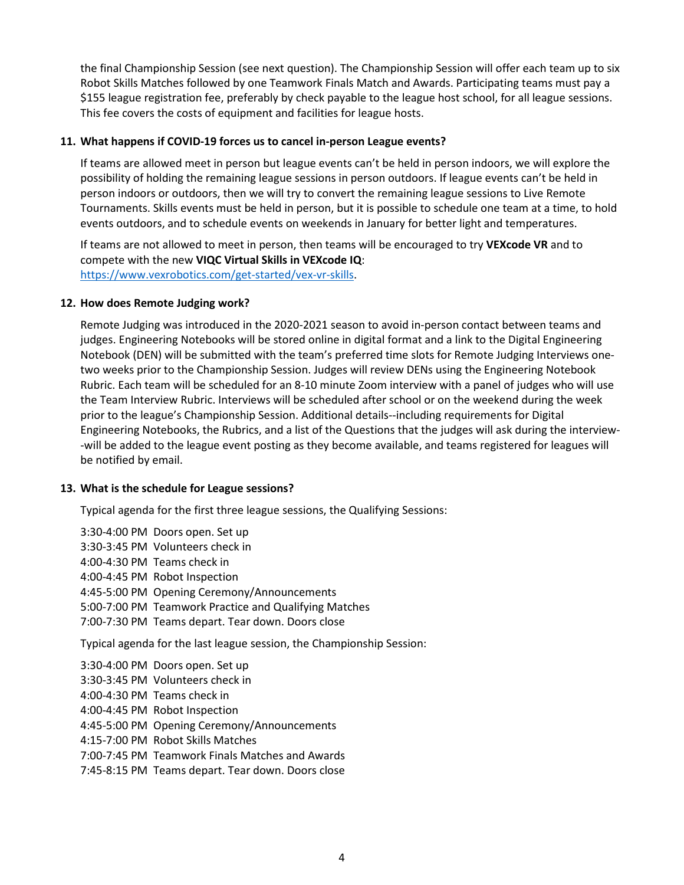the final Championship Session (see next question). The Championship Session will offer each team up to six Robot Skills Matches followed by one Teamwork Finals Match and Awards. Participating teams must pay a \$155 league registration fee, preferably by check payable to the league host school, for all league sessions. This fee covers the costs of equipment and facilities for league hosts.

#### **11. What happens if COVID-19 forces us to cancel in-person League events?**

If teams are allowed meet in person but league events can't be held in person indoors, we will explore the possibility of holding the remaining league sessions in person outdoors. If league events can't be held in person indoors or outdoors, then we will try to convert the remaining league sessions to Live Remote Tournaments. Skills events must be held in person, but it is possible to schedule one team at a time, to hold events outdoors, and to schedule events on weekends in January for better light and temperatures.

If teams are not allowed to meet in person, then teams will be encouraged to try **VEXcode VR** and to compete with the new **VIQC Virtual Skills in VEXcode IQ**: https://www.vexrobotics.com/get-started/vex-vr-skills.

### **12. How does Remote Judging work?**

Remote Judging was introduced in the 2020-2021 season to avoid in-person contact between teams and judges. Engineering Notebooks will be stored online in digital format and a link to the Digital Engineering Notebook (DEN) will be submitted with the team's preferred time slots for Remote Judging Interviews onetwo weeks prior to the Championship Session. Judges will review DENs using the Engineering Notebook Rubric. Each team will be scheduled for an 8-10 minute Zoom interview with a panel of judges who will use the Team Interview Rubric. Interviews will be scheduled after school or on the weekend during the week prior to the league's Championship Session. Additional details--including requirements for Digital Engineering Notebooks, the Rubrics, and a list of the Questions that the judges will ask during the interview- -will be added to the league event posting as they become available, and teams registered for leagues will be notified by email.

#### **13. What is the schedule for League sessions?**

Typical agenda for the first three league sessions, the Qualifying Sessions:

3:30-4:00 PM Doors open. Set up 3:30-3:45 PM Volunteers check in 4:00-4:30 PM Teams check in 4:00-4:45 PM Robot Inspection 4:45-5:00 PM Opening Ceremony/Announcements 5:00-7:00 PM Teamwork Practice and Qualifying Matches 7:00-7:30 PM Teams depart. Tear down. Doors close Typical agenda for the last league session, the Championship Session: 3:30-4:00 PM Doors open. Set up 3:30-3:45 PM Volunteers check in 4:00-4:30 PM Teams check in 4:00-4:45 PM Robot Inspection 4:45-5:00 PM Opening Ceremony/Announcements 4:15-7:00 PM Robot Skills Matches 7:00-7:45 PM Teamwork Finals Matches and Awards 7:45-8:15 PM Teams depart. Tear down. Doors close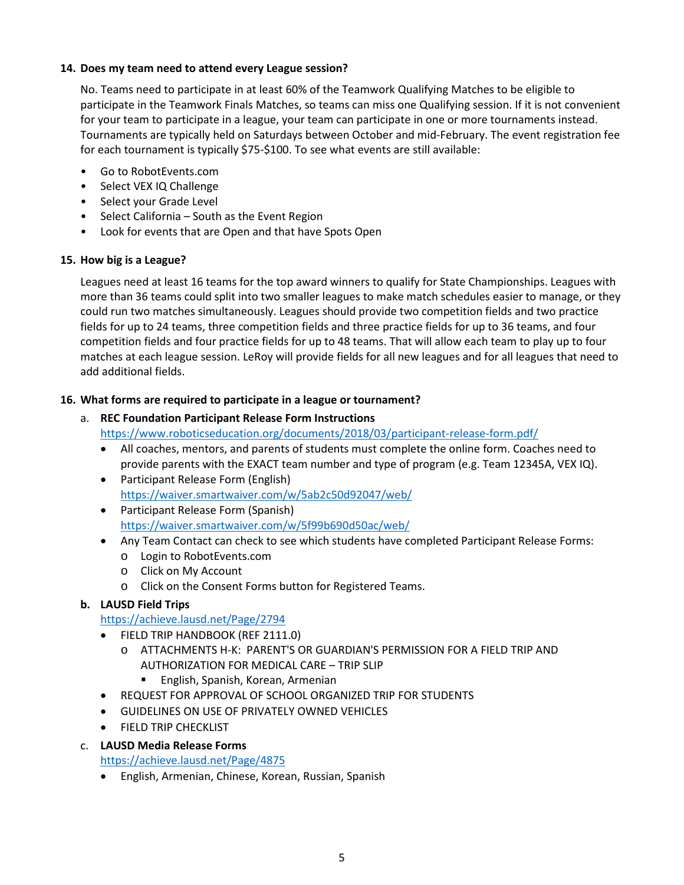# **14. Does my team need to attend every League session?**

No. Teams need to participate in at least 60% of the Teamwork Qualifying Matches to be eligible to participate in the Teamwork Finals Matches, so teams can miss one Qualifying session. If it is not convenient for your team to participate in a league, your team can participate in one or more tournaments instead. Tournaments are typically held on Saturdays between October and mid-February. The event registration fee for each tournament is typically \$75-\$100. To see what events are still available:

- Go to RobotEvents.com
- Select VEX IQ Challenge
- Select your Grade Level
- Select California South as the Event Region
- Look for events that are Open and that have Spots Open

## **15. How big is a League?**

Leagues need at least 16 teams for the top award winners to qualify for State Championships. Leagues with more than 36 teams could split into two smaller leagues to make match schedules easier to manage, or they could run two matches simultaneously. Leagues should provide two competition fields and two practice fields for up to 24 teams, three competition fields and three practice fields for up to 36 teams, and four competition fields and four practice fields for up to 48 teams. That will allow each team to play up to four matches at each league session. LeRoy will provide fields for all new leagues and for all leagues that need to add additional fields.

## **16. What forms are required to participate in a league or tournament?**

# a. **REC Foundation Participant Release Form Instructions**  https://www.roboticseducation.org/documents/2018/03/participant-release-form.pdf/

- All coaches, mentors, and parents of students must complete the online form. Coaches need to provide parents with the EXACT team number and type of program (e.g. Team 12345A, VEX IQ).
- Participant Release Form (English) https://waiver.smartwaiver.com/w/5ab2c50d92047/web/
- Participant Release Form (Spanish) https://waiver.smartwaiver.com/w/5f99b690d50ac/web/
- Any Team Contact can check to see which students have completed Participant Release Forms:
	- o Login to RobotEvents.com
	- o Click on My Account
	- o Click on the Consent Forms button for Registered Teams.

# **b. LAUSD Field Trips**

## https://achieve.lausd.net/Page/2794

- FIELD TRIP HANDBOOK (REF 2111.0)
	- o ATTACHMENTS H-K: PARENT'S OR GUARDIAN'S PERMISSION FOR A FIELD TRIP AND AUTHORIZATION FOR MEDICAL CARE – TRIP SLIP
		- **English, Spanish, Korean, Armenian**
- REQUEST FOR APPROVAL OF SCHOOL ORGANIZED TRIP FOR STUDENTS
- GUIDELINES ON USE OF PRIVATELY OWNED VEHICLES
- **•** FIELD TRIP CHECKLIST
- c. **LAUSD Media Release Forms**

https://achieve.lausd.net/Page/4875

English, Armenian, Chinese, Korean, Russian, Spanish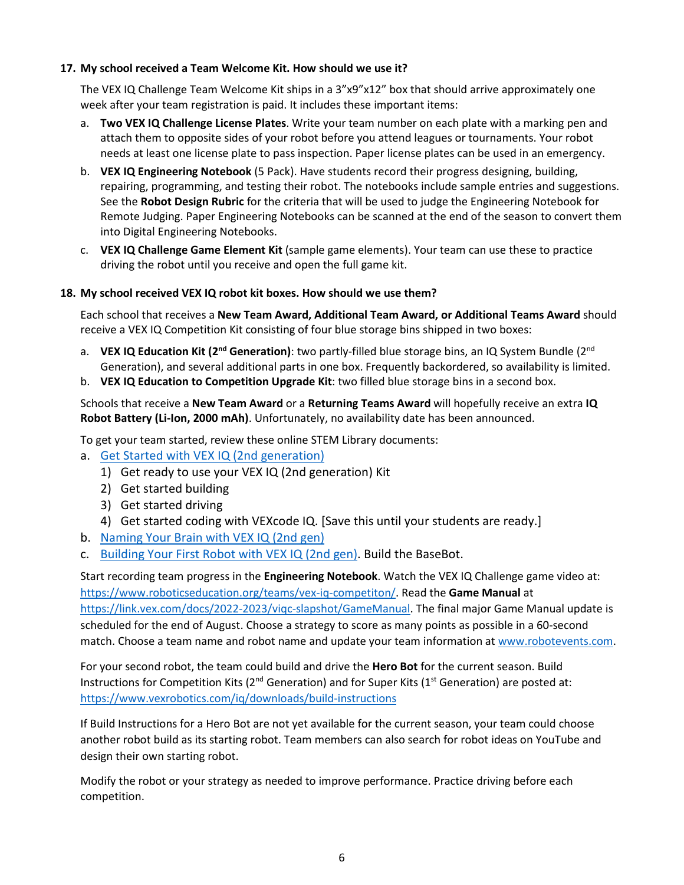# **17. My school received a Team Welcome Kit. How should we use it?**

The VEX IQ Challenge Team Welcome Kit ships in a 3"x9"x12" box that should arrive approximately one week after your team registration is paid. It includes these important items:

- a. **Two VEX IQ Challenge License Plates**. Write your team number on each plate with a marking pen and attach them to opposite sides of your robot before you attend leagues or tournaments. Your robot needs at least one license plate to pass inspection. Paper license plates can be used in an emergency.
- b. **VEX IQ Engineering Notebook** (5 Pack). Have students record their progress designing, building, repairing, programming, and testing their robot. The notebooks include sample entries and suggestions. See the **Robot Design Rubric** for the criteria that will be used to judge the Engineering Notebook for Remote Judging. Paper Engineering Notebooks can be scanned at the end of the season to convert them into Digital Engineering Notebooks.
- c. **VEX IQ Challenge Game Element Kit** (sample game elements). Your team can use these to practice driving the robot until you receive and open the full game kit.

## **18. My school received VEX IQ robot kit boxes. How should we use them?**

Each school that receives a **New Team Award, Additional Team Award, or Additional Teams Award** should receive a VEX IQ Competition Kit consisting of four blue storage bins shipped in two boxes:

- a. **VEX IQ Education Kit (2<sup>nd</sup> Generation)**: two partly-filled blue storage bins, an IQ System Bundle (2<sup>nd</sup>) Generation), and several additional parts in one box. Frequently backordered, so availability is limited.
- b. **VEX IQ Education to Competition Upgrade Kit**: two filled blue storage bins in a second box.

Schools that receive a **New Team Award** or a **Returning Teams Award** will hopefully receive an extra **IQ Robot Battery (Li-Ion, 2000 mAh)**. Unfortunately, no availability date has been announced.

To get your team started, review these online STEM Library documents:

- a. Get Started with VEX IQ (2nd generation)
	- 1) Get ready to use your VEX IQ (2nd generation) Kit
	- 2) Get started building
	- 3) Get started driving
	- 4) Get started coding with VEXcode IQ. [Save this until your students are ready.]
- b. Naming Your Brain with VEX IQ (2nd gen)
- c. Building Your First Robot with VEX IQ (2nd gen). Build the BaseBot.

Start recording team progress in the **Engineering Notebook**. Watch the VEX IQ Challenge game video at: https://www.roboticseducation.org/teams/vex-iq-competiton/. Read the **Game Manual** at https://link.vex.com/docs/2022-2023/viqc-slapshot/GameManual. The final major Game Manual update is scheduled for the end of August. Choose a strategy to score as many points as possible in a 60-second match. Choose a team name and robot name and update your team information at www.robotevents.com.

For your second robot, the team could build and drive the **Hero Bot** for the current season. Build Instructions for Competition Kits ( $2^{nd}$  Generation) and for Super Kits ( $1^{st}$  Generation) are posted at: https://www.vexrobotics.com/iq/downloads/build-instructions

If Build Instructions for a Hero Bot are not yet available for the current season, your team could choose another robot build as its starting robot. Team members can also search for robot ideas on YouTube and design their own starting robot.

Modify the robot or your strategy as needed to improve performance. Practice driving before each competition.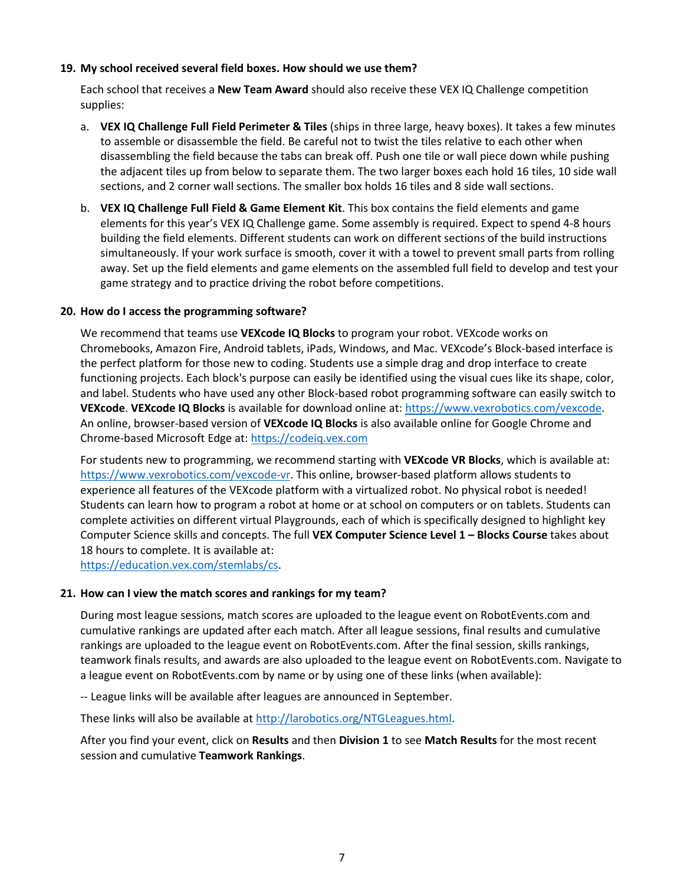## **19. My school received several field boxes. How should we use them?**

Each school that receives a **New Team Award** should also receive these VEX IQ Challenge competition supplies:

- a. **VEX IQ Challenge Full Field Perimeter & Tiles** (ships in three large, heavy boxes). It takes a few minutes to assemble or disassemble the field. Be careful not to twist the tiles relative to each other when disassembling the field because the tabs can break off. Push one tile or wall piece down while pushing the adjacent tiles up from below to separate them. The two larger boxes each hold 16 tiles, 10 side wall sections, and 2 corner wall sections. The smaller box holds 16 tiles and 8 side wall sections.
- b. **VEX IQ Challenge Full Field & Game Element Kit**. This box contains the field elements and game elements for this year's VEX IQ Challenge game. Some assembly is required. Expect to spend 4-8 hours building the field elements. Different students can work on different sections of the build instructions simultaneously. If your work surface is smooth, cover it with a towel to prevent small parts from rolling away. Set up the field elements and game elements on the assembled full field to develop and test your game strategy and to practice driving the robot before competitions.

#### **20. How do I access the programming software?**

We recommend that teams use **VEXcode IQ Blocks** to program your robot. VEXcode works on Chromebooks, Amazon Fire, Android tablets, iPads, Windows, and Mac. VEXcode's Block-based interface is the perfect platform for those new to coding. Students use a simple drag and drop interface to create functioning projects. Each block's purpose can easily be identified using the visual cues like its shape, color, and label. Students who have used any other Block-based robot programming software can easily switch to **VEXcode**. **VEXcode IQ Blocks** is available for download online at: https://www.vexrobotics.com/vexcode. An online, browser-based version of **VEXcode IQ Blocks** is also available online for Google Chrome and Chrome-based Microsoft Edge at: https://codeiq.vex.com

For students new to programming, we recommend starting with **VEXcode VR Blocks**, which is available at: https://www.vexrobotics.com/vexcode-vr. This online, browser-based platform allows students to experience all features of the VEXcode platform with a virtualized robot. No physical robot is needed! Students can learn how to program a robot at home or at school on computers or on tablets. Students can complete activities on different virtual Playgrounds, each of which is specifically designed to highlight key Computer Science skills and concepts. The full **VEX Computer Science Level 1 – Blocks Course** takes about 18 hours to complete. It is available at:

https://education.vex.com/stemlabs/cs.

#### **21. How can I view the match scores and rankings for my team?**

During most league sessions, match scores are uploaded to the league event on RobotEvents.com and cumulative rankings are updated after each match. After all league sessions, final results and cumulative rankings are uploaded to the league event on RobotEvents.com. After the final session, skills rankings, teamwork finals results, and awards are also uploaded to the league event on RobotEvents.com. Navigate to a league event on RobotEvents.com by name or by using one of these links (when available):

-- League links will be available after leagues are announced in September.

These links will also be available at http://larobotics.org/NTGLeagues.html.

After you find your event, click on **Results** and then **Division 1** to see **Match Results** for the most recent session and cumulative **Teamwork Rankings**.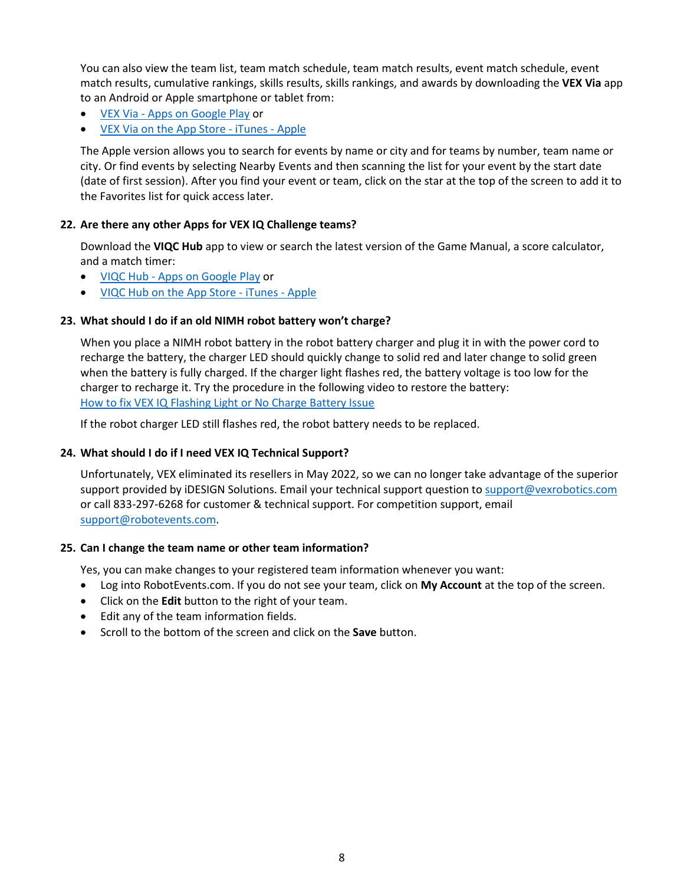You can also view the team list, team match schedule, team match results, event match schedule, event match results, cumulative rankings, skills results, skills rankings, and awards by downloading the **VEX Via** app to an Android or Apple smartphone or tablet from:

- VEX Via Apps on Google Play or
- VEX Via on the App Store iTunes Apple

The Apple version allows you to search for events by name or city and for teams by number, team name or city. Or find events by selecting Nearby Events and then scanning the list for your event by the start date (date of first session). After you find your event or team, click on the star at the top of the screen to add it to the Favorites list for quick access later.

# **22. Are there any other Apps for VEX IQ Challenge teams?**

Download the **VIQC Hub** app to view or search the latest version of the Game Manual, a score calculator, and a match timer:

- VIQC Hub Apps on Google Play or
- VIQC Hub on the App Store iTunes Apple

# **23. What should I do if an old NIMH robot battery won't charge?**

When you place a NIMH robot battery in the robot battery charger and plug it in with the power cord to recharge the battery, the charger LED should quickly change to solid red and later change to solid green when the battery is fully charged. If the charger light flashes red, the battery voltage is too low for the charger to recharge it. Try the procedure in the following video to restore the battery: How to fix VEX IQ Flashing Light or No Charge Battery Issue

If the robot charger LED still flashes red, the robot battery needs to be replaced.

## **24. What should I do if I need VEX IQ Technical Support?**

Unfortunately, VEX eliminated its resellers in May 2022, so we can no longer take advantage of the superior support provided by iDESIGN Solutions. Email your technical support question to support@vexrobotics.com or call 833-297-6268 for customer & technical support. For competition support, email support@robotevents.com.

## **25. Can I change the team name or other team information?**

Yes, you can make changes to your registered team information whenever you want:

- Log into RobotEvents.com. If you do not see your team, click on **My Account** at the top of the screen.
- Click on the **Edit** button to the right of your team.
- Edit any of the team information fields.
- Scroll to the bottom of the screen and click on the **Save** button.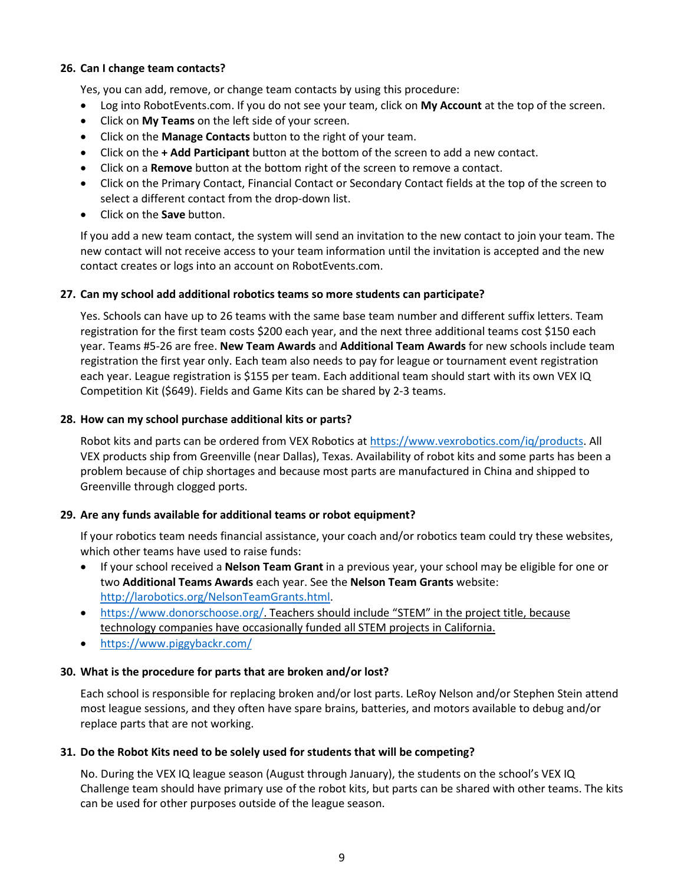## **26. Can I change team contacts?**

Yes, you can add, remove, or change team contacts by using this procedure:

- Log into RobotEvents.com. If you do not see your team, click on **My Account** at the top of the screen.
- Click on **My Teams** on the left side of your screen.
- Click on the **Manage Contacts** button to the right of your team.
- Click on the **+ Add Participant** button at the bottom of the screen to add a new contact.
- Click on a **Remove** button at the bottom right of the screen to remove a contact.
- Click on the Primary Contact, Financial Contact or Secondary Contact fields at the top of the screen to select a different contact from the drop-down list.
- Click on the **Save** button.

If you add a new team contact, the system will send an invitation to the new contact to join your team. The new contact will not receive access to your team information until the invitation is accepted and the new contact creates or logs into an account on RobotEvents.com.

## **27. Can my school add additional robotics teams so more students can participate?**

Yes. Schools can have up to 26 teams with the same base team number and different suffix letters. Team registration for the first team costs \$200 each year, and the next three additional teams cost \$150 each year. Teams #5-26 are free. **New Team Awards** and **Additional Team Awards** for new schools include team registration the first year only. Each team also needs to pay for league or tournament event registration each year. League registration is \$155 per team. Each additional team should start with its own VEX IQ Competition Kit (\$649). Fields and Game Kits can be shared by 2-3 teams.

## **28. How can my school purchase additional kits or parts?**

Robot kits and parts can be ordered from VEX Robotics at https://www.vexrobotics.com/iq/products. All VEX products ship from Greenville (near Dallas), Texas. Availability of robot kits and some parts has been a problem because of chip shortages and because most parts are manufactured in China and shipped to Greenville through clogged ports.

## **29. Are any funds available for additional teams or robot equipment?**

If your robotics team needs financial assistance, your coach and/or robotics team could try these websites, which other teams have used to raise funds:

- If your school received a **Nelson Team Grant** in a previous year, your school may be eligible for one or two **Additional Teams Awards** each year. See the **Nelson Team Grants** website: http://larobotics.org/NelsonTeamGrants.html.
- https://www.donorschoose.org/. Teachers should include "STEM" in the project title, because technology companies have occasionally funded all STEM projects in California.
- https://www.piggybackr.com/

## **30. What is the procedure for parts that are broken and/or lost?**

Each school is responsible for replacing broken and/or lost parts. LeRoy Nelson and/or Stephen Stein attend most league sessions, and they often have spare brains, batteries, and motors available to debug and/or replace parts that are not working.

## **31. Do the Robot Kits need to be solely used for students that will be competing?**

No. During the VEX IQ league season (August through January), the students on the school's VEX IQ Challenge team should have primary use of the robot kits, but parts can be shared with other teams. The kits can be used for other purposes outside of the league season.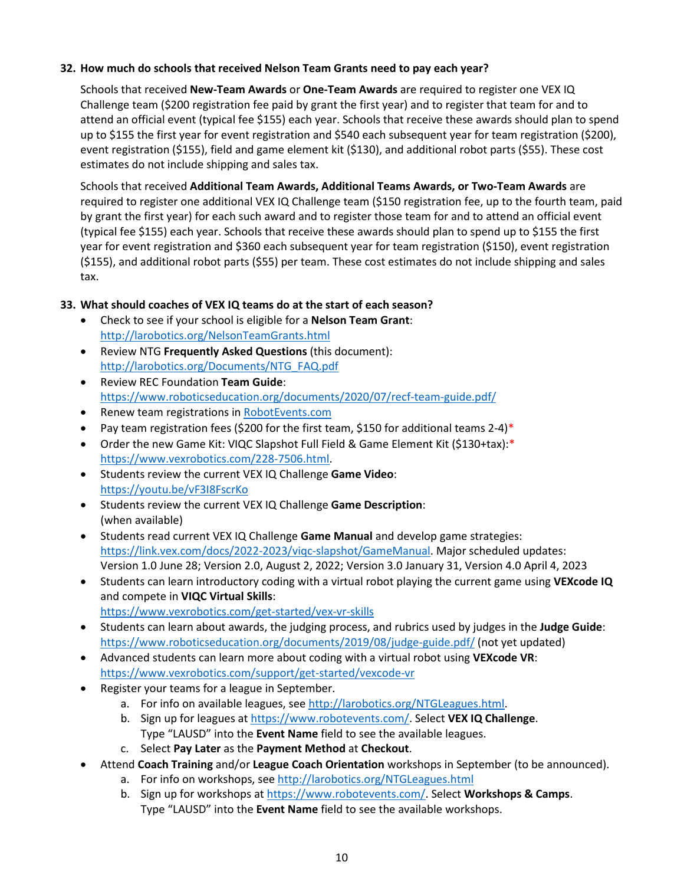# **32. How much do schools that received Nelson Team Grants need to pay each year?**

Schools that received **New-Team Awards** or **One-Team Awards** are required to register one VEX IQ Challenge team (\$200 registration fee paid by grant the first year) and to register that team for and to attend an official event (typical fee \$155) each year. Schools that receive these awards should plan to spend up to \$155 the first year for event registration and \$540 each subsequent year for team registration (\$200), event registration (\$155), field and game element kit (\$130), and additional robot parts (\$55). These cost estimates do not include shipping and sales tax.

Schools that received **Additional Team Awards, Additional Teams Awards, or Two-Team Awards** are required to register one additional VEX IQ Challenge team (\$150 registration fee, up to the fourth team, paid by grant the first year) for each such award and to register those team for and to attend an official event (typical fee \$155) each year. Schools that receive these awards should plan to spend up to \$155 the first year for event registration and \$360 each subsequent year for team registration (\$150), event registration (\$155), and additional robot parts (\$55) per team. These cost estimates do not include shipping and sales tax.

# **33. What should coaches of VEX IQ teams do at the start of each season?**

- Check to see if your school is eligible for a **Nelson Team Grant**: http://larobotics.org/NelsonTeamGrants.html
- Review NTG **Frequently Asked Questions** (this document): http://larobotics.org/Documents/NTG\_FAQ.pdf
- Review REC Foundation **Team Guide**: https://www.roboticseducation.org/documents/2020/07/recf-team-guide.pdf/
- **•** Renew team registrations in RobotEvents.com
- Pay team registration fees (\$200 for the first team, \$150 for additional teams 2-4)\*
- Order the new Game Kit: VIQC Slapshot Full Field & Game Element Kit (\$130+tax):\* https://www.vexrobotics.com/228-7506.html.
- Students review the current VEX IQ Challenge **Game Video**: https://youtu.be/vF3I8FscrKo
- Students review the current VEX IQ Challenge **Game Description**: (when available)
- Students read current VEX IQ Challenge **Game Manual** and develop game strategies: https://link.vex.com/docs/2022-2023/viqc-slapshot/GameManual. Major scheduled updates: Version 1.0 June 28; Version 2.0, August 2, 2022; Version 3.0 January 31, Version 4.0 April 4, 2023
- Students can learn introductory coding with a virtual robot playing the current game using **VEXcode IQ** and compete in **VIQC Virtual Skills**:
	- https://www.vexrobotics.com/get-started/vex-vr-skills
- Students can learn about awards, the judging process, and rubrics used by judges in the **Judge Guide**: https://www.roboticseducation.org/documents/2019/08/judge-guide.pdf/ (not yet updated)
- Advanced students can learn more about coding with a virtual robot using **VEXcode VR**: https://www.vexrobotics.com/support/get-started/vexcode-vr
- Register your teams for a league in September.
	- a. For info on available leagues, see http://larobotics.org/NTGLeagues.html.
	- b. Sign up for leagues at https://www.robotevents.com/. Select **VEX IQ Challenge**. Type "LAUSD" into the **Event Name** field to see the available leagues.
	- c. Select **Pay Later** as the **Payment Method** at **Checkout**.
- Attend **Coach Training** and/or **League Coach Orientation** workshops in September (to be announced).
	- a. For info on workshops, see http://larobotics.org/NTGLeagues.html
	- b. Sign up for workshops at https://www.robotevents.com/. Select **Workshops & Camps**. Type "LAUSD" into the **Event Name** field to see the available workshops.